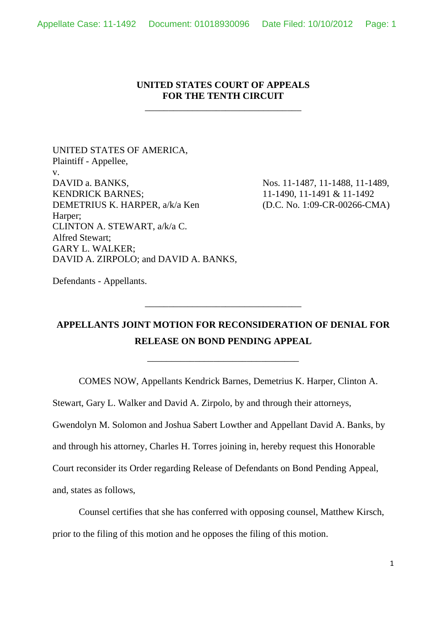## **UNITED STATES COURT OF APPEALS FOR THE TENTH CIRCUIT**

\_\_\_\_\_\_\_\_\_\_\_\_\_\_\_\_\_\_\_\_\_\_\_\_\_\_\_\_\_\_\_\_\_

UNITED STATES OF AMERICA, Plaintiff - Appellee, v. DAVID a. BANKS, KENDRICK BARNES; DEMETRIUS K. HARPER, a/k/a Ken Harper; CLINTON A. STEWART, a/k/a C. Alfred Stewart; GARY L. WALKER; DAVID A. ZIRPOLO; and DAVID A. BANKS,

Nos. 11-1487, 11-1488, 11-1489, 11-1490, 11-1491 & 11-1492 (D.C. No. 1:09-CR-00266-CMA)

Defendants - Appellants.

## **APPELLANTS JOINT MOTION FOR RECONSIDERATION OF DENIAL FOR RELEASE ON BOND PENDING APPEAL**

\_\_\_\_\_\_\_\_\_\_\_\_\_\_\_\_\_\_\_\_\_\_\_\_\_\_\_\_\_\_\_\_

\_\_\_\_\_\_\_\_\_\_\_\_\_\_\_\_\_\_\_\_\_\_\_\_\_\_\_\_\_\_\_\_\_

COMES NOW, Appellants Kendrick Barnes, Demetrius K. Harper, Clinton A.

Stewart, Gary L. Walker and David A. Zirpolo, by and through their attorneys,

Gwendolyn M. Solomon and Joshua Sabert Lowther and Appellant David A. Banks, by

and through his attorney, Charles H. Torres joining in, hereby request this Honorable

Court reconsider its Order regarding Release of Defendants on Bond Pending Appeal,

and, states as follows,

Counsel certifies that she has conferred with opposing counsel, Matthew Kirsch, prior to the filing of this motion and he opposes the filing of this motion.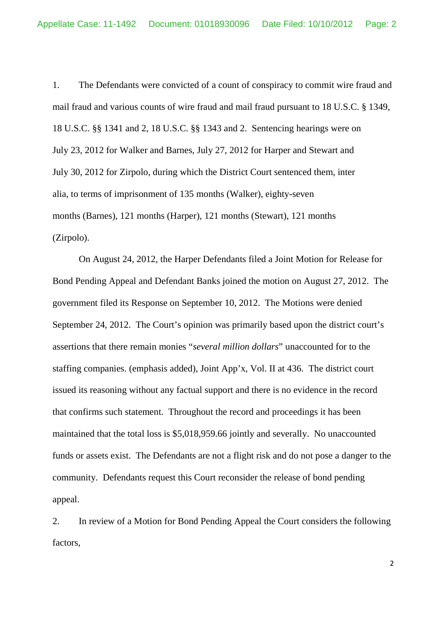1. The Defendants were convicted of a count of conspiracy to commit wire fraud and mail fraud and various counts of wire fraud and mail fraud pursuant to 18 U.S.C. § 1349, 18 U.S.C. §§ 1341 and 2, 18 U.S.C. §§ 1343 and 2. Sentencing hearings were on July 23, 2012 for Walker and Barnes, July 27, 2012 for Harper and Stewart and July 30, 2012 for Zirpolo, during which the District Court sentenced them, inter alia, to terms of imprisonment of 135 months (Walker), eighty-seven months (Barnes), 121 months (Harper), 121 months (Stewart), 121 months (Zirpolo).

On August 24, 2012, the Harper Defendants filed a Joint Motion for Release for Bond Pending Appeal and Defendant Banks joined the motion on August 27, 2012. The government filed its Response on September 10, 2012. The Motions were denied September 24, 2012. The Court's opinion was primarily based upon the district court's assertions that there remain monies "*several million dollars*" unaccounted for to the staffing companies. (emphasis added), Joint App'x, Vol. II at 436. The district court issued its reasoning without any factual support and there is no evidence in the record that confirms such statement. Throughout the record and proceedings it has been maintained that the total loss is \$5,018,959.66 jointly and severally. No unaccounted funds or assets exist. The Defendants are not a flight risk and do not pose a danger to the community. Defendants request this Court reconsider the release of bond pending appeal.

2. In review of a Motion for Bond Pending Appeal the Court considers the following factors,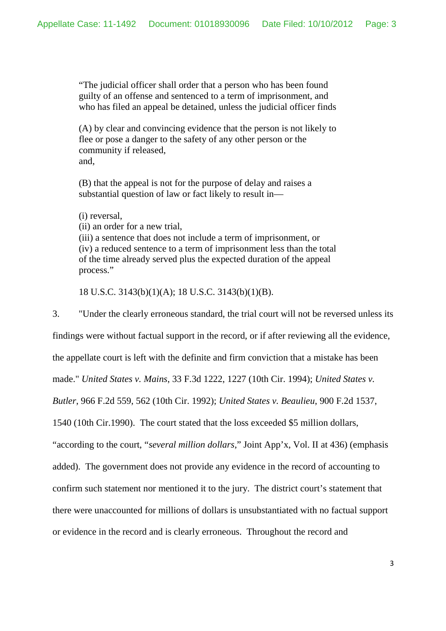"The judicial officer shall order that a person who has been found guilty of an offense and sentenced to a term of imprisonment, and who has filed an appeal be detained, unless the judicial officer finds

(A) by clear and convincing evidence that the person is not likely to flee or pose a danger to the safety of any other person or the community if released, and,

(B) that the appeal is not for the purpose of delay and raises a substantial question of law or fact likely to result in—

(i) reversal,

(ii) an order for a new trial,

(iii) a sentence that does not include a term of imprisonment, or (iv) a reduced sentence to a term of imprisonment less than the total of the time already served plus the expected duration of the appeal process."

18 U.S.C. 3143(b)(1)(A); 18 U.S.C. 3143(b)(1)(B).

3. "Under the clearly erroneous standard, the trial court will not be reversed unless its findings were without factual support in the record, or if after reviewing all the evidence, the appellate court is left with the definite and firm conviction that a mistake has been made." *United States v. Mains*, 33 F.3d 1222, 1227 (10th Cir. 1994); *United States v. Butler*, 966 F.2d 559, 562 (10th Cir. 1992); *United States v. Beaulieu*, 900 F.2d 1537, 1540 (10th Cir.1990). The court stated that the loss exceeded \$5 million dollars, "according to the court, "*several million dollars*," Joint App'x, Vol. II at 436) (emphasis added). The government does not provide any evidence in the record of accounting to confirm such statement nor mentioned it to the jury. The district court's statement that there were unaccounted for millions of dollars is unsubstantiated with no factual support or evidence in the record and is clearly erroneous. Throughout the record and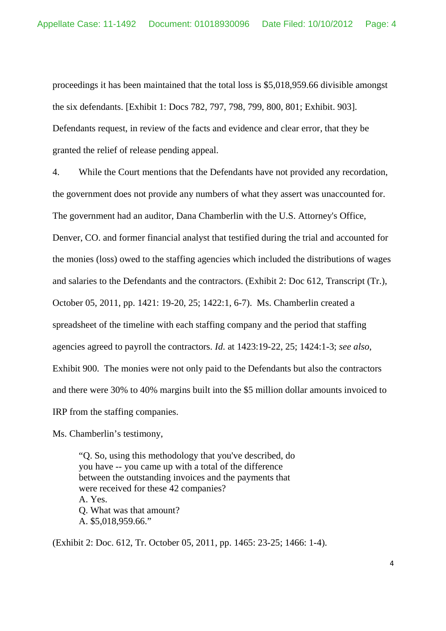proceedings it has been maintained that the total loss is \$5,018,959.66 divisible amongst the six defendants. [Exhibit 1: Docs 782, 797, 798, 799, 800, 801; Exhibit. 903]. Defendants request, in review of the facts and evidence and clear error, that they be granted the relief of release pending appeal.

4. While the Court mentions that the Defendants have not provided any recordation, the government does not provide any numbers of what they assert was unaccounted for. The government had an auditor, Dana Chamberlin with the U.S. Attorney's Office, Denver, CO. and former financial analyst that testified during the trial and accounted for the monies (loss) owed to the staffing agencies which included the distributions of wages and salaries to the Defendants and the contractors. (Exhibit 2: Doc 612, Transcript (Tr.), October 05, 2011, pp. 1421: 19-20, 25; 1422:1, 6-7). Ms. Chamberlin created a spreadsheet of the timeline with each staffing company and the period that staffing agencies agreed to payroll the contractors. *Id*. at 1423:19-22, 25; 1424:1-3; *see also*, Exhibit 900. The monies were not only paid to the Defendants but also the contractors and there were 30% to 40% margins built into the \$5 million dollar amounts invoiced to IRP from the staffing companies.

Ms. Chamberlin's testimony,

"Q. So, using this methodology that you've described, do you have -- you came up with a total of the difference between the outstanding invoices and the payments that were received for these 42 companies? A. Yes. Q. What was that amount? A. \$5,018,959.66."

(Exhibit 2: Doc. 612, Tr. October 05, 2011, pp. 1465: 23-25; 1466: 1-4).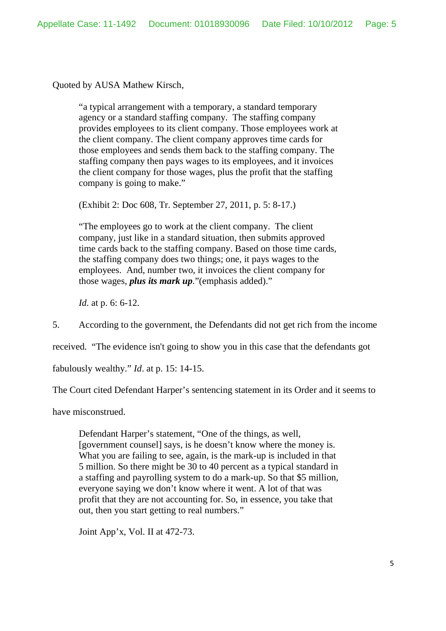Quoted by AUSA Mathew Kirsch,

"a typical arrangement with a temporary, a standard temporary agency or a standard staffing company. The staffing company provides employees to its client company. Those employees work at the client company. The client company approves time cards for those employees and sends them back to the staffing company. The staffing company then pays wages to its employees, and it invoices the client company for those wages, plus the profit that the staffing company is going to make."

(Exhibit 2: Doc 608, Tr. September 27, 2011, p. 5: 8-17.)

"The employees go to work at the client company. The client company, just like in a standard situation, then submits approved time cards back to the staffing company. Based on those time cards, the staffing company does two things; one, it pays wages to the employees. And, number two, it invoices the client company for those wages, *plus its mark up*."(emphasis added)."

*Id.* at p. 6: 6-12.

5. According to the government, the Defendants did not get rich from the income

received. "The evidence isn't going to show you in this case that the defendants got

fabulously wealthy." *Id*. at p. 15: 14-15.

The Court cited Defendant Harper's sentencing statement in its Order and it seems to

have misconstrued.

Defendant Harper's statement, "One of the things, as well, [government counsel] says, is he doesn't know where the money is. What you are failing to see, again, is the mark-up is included in that 5 million. So there might be 30 to 40 percent as a typical standard in a staffing and payrolling system to do a mark-up. So that \$5 million, everyone saying we don't know where it went. A lot of that was profit that they are not accounting for. So, in essence, you take that out, then you start getting to real numbers."

Joint App'x, Vol. II at 472-73.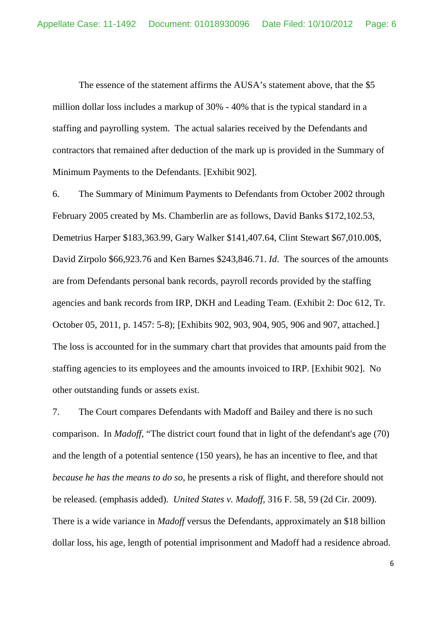The essence of the statement affirms the AUSA's statement above, that the \$5 million dollar loss includes a markup of 30% - 40% that is the typical standard in a staffing and payrolling system. The actual salaries received by the Defendants and contractors that remained after deduction of the mark up is provided in the Summary of Minimum Payments to the Defendants. [Exhibit 902].

6. The Summary of Minimum Payments to Defendants from October 2002 through February 2005 created by Ms. Chamberlin are as follows, David Banks \$172,102.53, Demetrius Harper \$183,363.99, Gary Walker \$141,407.64, Clint Stewart \$67,010.00\$, David Zirpolo \$66,923.76 and Ken Barnes \$243,846.71. *Id*. The sources of the amounts are from Defendants personal bank records, payroll records provided by the staffing agencies and bank records from IRP, DKH and Leading Team. (Exhibit 2: Doc 612, Tr. October 05, 2011, p. 1457: 5-8); [Exhibits 902, 903, 904, 905, 906 and 907, attached.] The loss is accounted for in the summary chart that provides that amounts paid from the staffing agencies to its employees and the amounts invoiced to IRP. [Exhibit 902]. No other outstanding funds or assets exist.

7. The Court compares Defendants with Madoff and Bailey and there is no such comparison. In *Madoff*, "The district court found that in light of the defendant's age (70) and the length of a potential sentence (150 years), he has an incentive to flee, and that *because he has the means to do so*, he presents a risk of flight, and therefore should not be released. (emphasis added). *United States v. Madoff*, 316 F. 58, 59 (2d Cir. 2009). There is a wide variance in *Madoff* versus the Defendants, approximately an \$18 billion dollar loss, his age, length of potential imprisonment and Madoff had a residence abroad.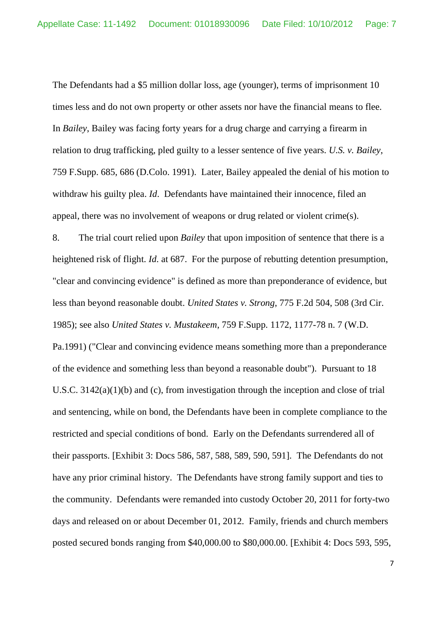The Defendants had a \$5 million dollar loss, age (younger), terms of imprisonment 10 times less and do not own property or other assets nor have the financial means to flee. In *Bailey*, Bailey was facing forty years for a drug charge and carrying a firearm in relation to drug trafficking, pled guilty to a lesser sentence of five years. *U.S. v. Bailey*, 759 F.Supp. 685, 686 (D.Colo. 1991). Later, Bailey appealed the denial of his motion to withdraw his guilty plea. *Id*. Defendants have maintained their innocence, filed an appeal, there was no involvement of weapons or drug related or violent crime(s).

8. The trial court relied upon *Bailey* that upon imposition of sentence that there is a heightened risk of flight. *Id*. at 687. For the purpose of rebutting detention presumption, "clear and convincing evidence" is defined as more than preponderance of evidence, but less than beyond reasonable doubt. *United States v. Strong*, 775 F.2d 504, 508 (3rd Cir. 1985); see also *United States v. Mustakeem*, 759 F.Supp. 1172, 1177-78 n. 7 (W.D. Pa.1991) ("Clear and convincing evidence means something more than a preponderance of the evidence and something less than beyond a reasonable doubt"). Pursuant to 18 U.S.C. 3142(a)(1)(b) and (c), from investigation through the inception and close of trial and sentencing, while on bond, the Defendants have been in complete compliance to the restricted and special conditions of bond. Early on the Defendants surrendered all of their passports. [Exhibit 3: Docs 586, 587, 588, 589, 590, 591]. The Defendants do not have any prior criminal history. The Defendants have strong family support and ties to the community. Defendants were remanded into custody October 20, 2011 for forty-two days and released on or about December 01, 2012. Family, friends and church members posted secured bonds ranging from \$40,000.00 to \$80,000.00. [Exhibit 4: Docs 593, 595,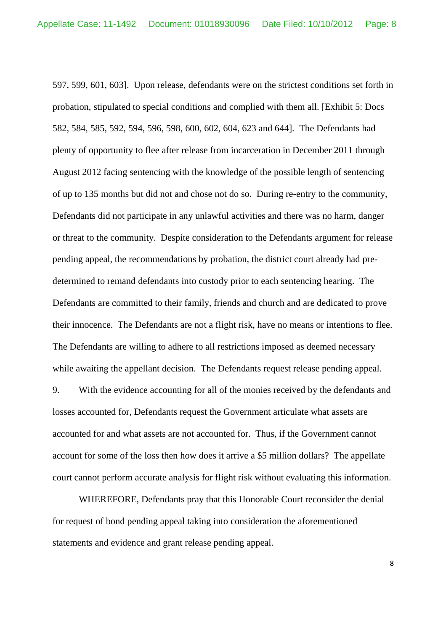597, 599, 601, 603]. Upon release, defendants were on the strictest conditions set forth in probation, stipulated to special conditions and complied with them all. [Exhibit 5: Docs 582, 584, 585, 592, 594, 596, 598, 600, 602, 604, 623 and 644]. The Defendants had plenty of opportunity to flee after release from incarceration in December 2011 through August 2012 facing sentencing with the knowledge of the possible length of sentencing of up to 135 months but did not and chose not do so. During re-entry to the community, Defendants did not participate in any unlawful activities and there was no harm, danger or threat to the community. Despite consideration to the Defendants argument for release pending appeal, the recommendations by probation, the district court already had predetermined to remand defendants into custody prior to each sentencing hearing. The Defendants are committed to their family, friends and church and are dedicated to prove their innocence. The Defendants are not a flight risk, have no means or intentions to flee. The Defendants are willing to adhere to all restrictions imposed as deemed necessary while awaiting the appellant decision. The Defendants request release pending appeal.

9. With the evidence accounting for all of the monies received by the defendants and losses accounted for, Defendants request the Government articulate what assets are accounted for and what assets are not accounted for. Thus, if the Government cannot account for some of the loss then how does it arrive a \$5 million dollars? The appellate court cannot perform accurate analysis for flight risk without evaluating this information.

WHEREFORE, Defendants pray that this Honorable Court reconsider the denial for request of bond pending appeal taking into consideration the aforementioned statements and evidence and grant release pending appeal.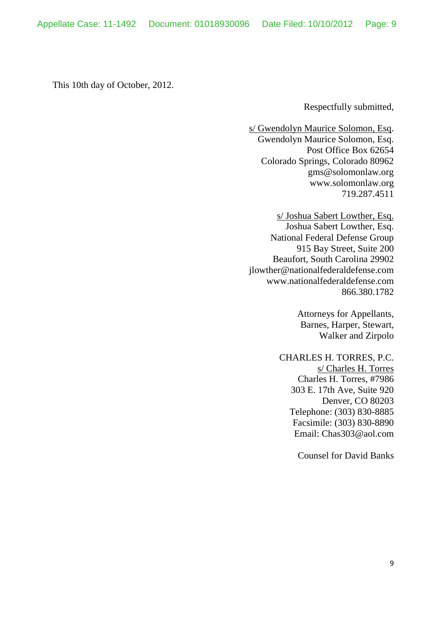This 10th day of October, 2012.

Respectfully submitted,

s/ Gwendolyn Maurice Solomon, Esq. Gwendolyn Maurice Solomon, Esq. Post Office Box 62654 Colorado Springs, Colorado 80962 gms@solomonlaw.org www.solomonlaw.org 719.287.4511

s/ Joshua Sabert Lowther, Esq. Joshua Sabert Lowther, Esq. National Federal Defense Group 915 Bay Street, Suite 200 Beaufort, South Carolina 29902 jlowther@nationalfederaldefense.com www.nationalfederaldefense.com 866.380.1782

> Attorneys for Appellants, Barnes, Harper, Stewart, Walker and Zirpolo

CHARLES H. TORRES, P.C. s/ Charles H. Torres Charles H. Torres, #7986 303 E. 17th Ave, Suite 920 Denver, CO 80203 Telephone: (303) 830-8885 Facsimile: (303) 830-8890 Email: Chas303@aol.com

Counsel for David Banks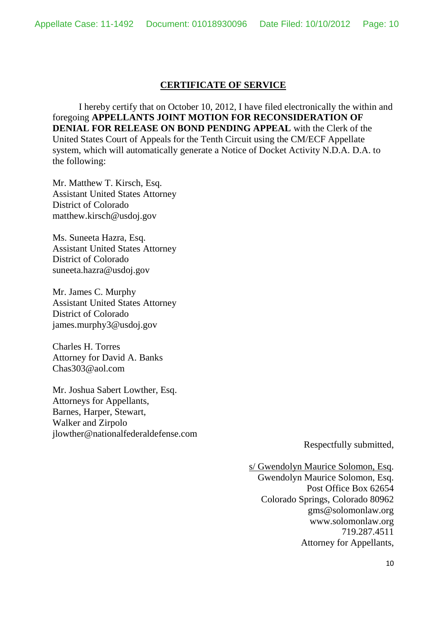## **CERTIFICATE OF SERVICE**

I hereby certify that on October 10, 2012, I have filed electronically the within and foregoing **APPELLANTS JOINT MOTION FOR RECONSIDERATION OF DENIAL FOR RELEASE ON BOND PENDING APPEAL** with the Clerk of the United States Court of Appeals for the Tenth Circuit using the CM/ECF Appellate system, which will automatically generate a Notice of Docket Activity N.D.A. D.A. to the following:

Mr. Matthew T. Kirsch, Esq. Assistant United States Attorney District of Colorado matthew.kirsch@usdoj.gov

Ms. Suneeta Hazra, Esq. Assistant United States Attorney District of Colorado suneeta.hazra@usdoj.gov

Mr. James C. Murphy Assistant United States Attorney District of Colorado james.murphy3@usdoj.gov

Charles H. Torres Attorney for David A. Banks Chas303@aol.com

Mr. Joshua Sabert Lowther, Esq. Attorneys for Appellants, Barnes, Harper, Stewart, Walker and Zirpolo jlowther@nationalfederaldefense.com

Respectfully submitted,

s/ Gwendolyn Maurice Solomon, Esq. Gwendolyn Maurice Solomon, Esq. Post Office Box 62654 Colorado Springs, Colorado 80962 gms@solomonlaw.org www.solomonlaw.org 719.287.4511 Attorney for Appellants,